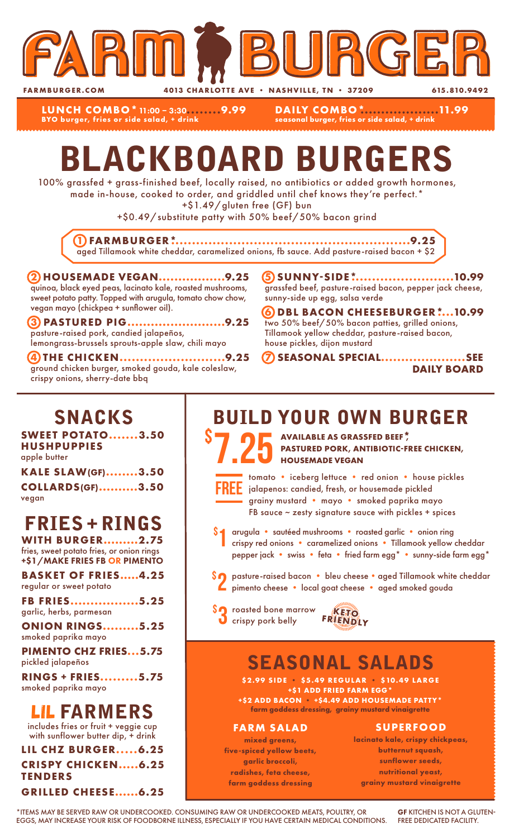

**LUNCH COMBO\***11:00 – 3:30**........9.99 BYO burger, fries or side salad, + drink**

**DAILY COMBO\*...................11.99 seasonal burger, fries or side salad, + drink**

# BLACKBOARD BURGERS

100% grassfed + grass-finished beef, locally raised, no antibiotics or added growth hormones, made in-house, cooked to order, and griddled until chef knows they're perfect.\*

+\$1.49/gluten free (GF) bun

+\$0.49/substitute patty with 50% beef/50% bacon grind

**1 FARMBURGER\*..........................................................9.25** aged Tillamook white cheddar, caramelized onions, fb sauce. Add pasture-raised bacon + \$2

#### **2 HOUSEMADE VEGAN.................9.25** quinoa, black eyed peas, lacinato kale, roasted mushrooms, sweet potato patty. Topped with arugula, tomato chow chow, vegan mayo (chickpea + sunflower oil).

**3 PASTURED PIG.........................9.25** pasture-raised pork, candied jalapeños, lemongrass-brussels sprouts-apple slaw, chili mayo

**4 THE CHICKEN..........................9.25** ground chicken burger, smoked gouda, kale coleslaw, crispy onions, sherry-date bbq

**5 SUNNY-SIDE\*.........................10.99** grassfed beef, pasture-raised bacon, pepper jack cheese, sunny-side up egg, salsa verde

**6 DBL BACON CHEESEBURGER\*....10.99** two 50% beef/50% bacon patties, grilled onions, Tillamook yellow cheddar, pasture-raised bacon, house pickles, dijon mustard

**7 SEASONAL SPECIAL.....................SEE DAILY BOARD**

# SNACKS

**SWEET POTATO.......3.50 HUSHPUPPIES** apple butter

| <b>KALE SLAW(GF)3.50</b> |  |
|--------------------------|--|
| <b>COLLARDS(GF)3.50</b>  |  |
| vegan                    |  |

# FRIES + RINGS

**WITH BURGER.........2.75** fries, sweet potato fries, or onion rings +\$1/MAKE FRIES FB OR PIMENTO

**BASKET OF FRIES.....4.25** regular or sweet potato

**FB FRIES.................5.25** garlic, herbs, parmesan

**ONION RINGS.........5.25** smoked paprika mayo

**PIMENTO CHZ FRIES...5.75** pickled jalapeños

**RINGS + FRIES.........5.75** smoked paprika mayo

### LIL FARMERS

includes fries or fruit + veggie cup with sunflower butter dip, + drink

**LIL CHZ BURGER.....6.25 CRISPY CHICKEN.....6.25 TENDERS GRILLED CHEESE......6.25**

# BUILD YOUR OWN BURGER

7.25 \$ **AVAILABLE AS GRASSFED BEEF\*, PASTURED PORK, ANTIBIOTIC-FREE CHICKEN, HOUSEMADE VEGAN**



\$

tomato • iceberg lettuce • red onion • house pickles jalapenos: candied, fresh, or housemade pickled grainy mustard • mayo • smoked paprika mayo FB sauce  $\sim$  zesty signature sauce with pickles + spices

- arugula sautéed mushrooms roasted garlic onion ring crispy red onions • caramelized onions • Tillamook yellow cheddar pepper jack • swiss • feta • fried farm egg\* • sunny-side farm egg\* 1
- \$2 pasture-raised bacon bleu cheese aged Tillamook white cheddar<br>Pimento cheese local goat cheese aged smoked gouda pimento cheese • local goat cheese • aged smoked gouda
- **SO** roasted bone marrow **KETO**<br> **O** crispy pork belly FRIENDLY



# SEASONAL SALADS

**\$2.99 SIDE • \$5.49 REGULAR • \$10.49 LARGE +\$1 ADD FRIED FARM EGG\* +\$2 ADD BACON • +\$4.49 ADD HOUSEMADE PATTY\***

**farm goddess dressing, grainy mustard vinaigrette**

#### **FARM SALAD**

**mixed greens, five-spiced yellow beets, garlic broccoli, radishes, feta cheese, farm goddess dressing**

#### **SUPERFOOD**

**lacinato kale, crispy chickpeas, butternut squash, sunflower seeds, nutritional yeast, grainy mustard vinaigrette**

\*ITEMS MAY BE SERVED RAW OR UNDERCOOKED. CONSUMING RAW OR UNDERCOOKED MEATS, POULTRY, OR EGGS, MAY INCREASE YOUR RISK OF FOODBORNE ILLNESS, ESPECIALLY IF YOU HAVE CERTAIN MEDICAL CONDITIONS.

GF KITCHEN IS NOT A GLUTEN-FREE DEDICATED FACILITY.